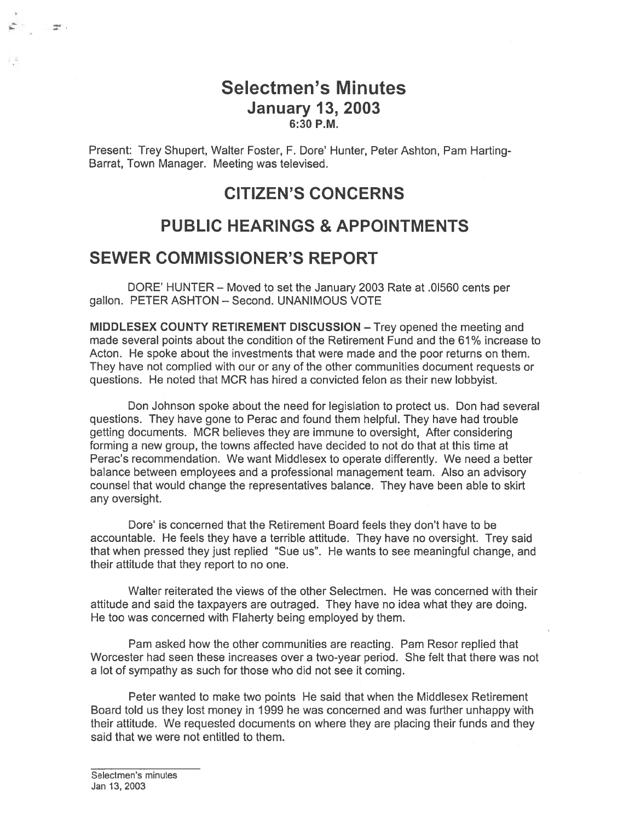## Selectmen's Minutes January 13, 2003 6:30 P.M.

Present: Trey Shupert, Walter Foster, F. Dore' Hunter, Peter Ashton, Pam Harting Barrat, Town Manager. Meeting was televised.

## CITIZEN'S CONCERNS

## PUBLIC HEARINGS & APPOINTMENTS

## SEWER COMMISSIONER'S REPORT

and ...

DORE' HUNTER — Moved to set the January 2003 Rate at .01560 cents per gallon. PETER ASHTON — Second. UNANIMOUS VOTE

MIDDLESEX COUNTY RETIREMENT DISCUSSION — Trey opened the meeting and made several points about the condition of the Retirement Fund and the 61% increase to Acton. He spoke about the investments that were made and the poor returns on them. They have not complied with our or any of the other communities document requests or questions. He noted that MCR has hired <sup>a</sup> convicted felon as their new lobbyist.

Don Johnson spoke about the need for legislation to protect us. Don had several questions. They have gone to Perac and found them helpful. They have had trouble getting documents. MCR believes they are immune to oversight, After considering forming <sup>a</sup> new group, the towns affected have decided to not do that at this time at Perac's recommendation. We want Middlesex to operate differently. We need <sup>a</sup> better balance between employees and <sup>a</sup> professional managemen<sup>t</sup> team. Also an advisory counsel that would change the representatives balance. They have been able to skirt any oversight.

Dore' is concerned that the Retirement Board feels they don't have to be accountable. He feels they have <sup>a</sup> terrible attitude. They have no oversight. Trey said that when pressed they just replied "Sue us". He wants to see meaningful change, and their attitude that they repor<sup>t</sup> to no one.

Walter reiterated the views of the other Selectmen. He was concerned with their attitude and said the taxpayers are outraged. They have no idea what they are doing. He too was concerned with Flaherty being employed by them.

Pam asked how the other communities are reacting. Pam Resor replied that Worcester had seen these increases over <sup>a</sup> two-year period. She felt that there was not <sup>a</sup> lot of sympathy as such for those who did not see it coming.

Peter wanted to make two points He said that when the Middlesex Retirement Board told us they lost money in 1999 he was concerned and was further unhappy with their attitude. We requested documents on where they are placing their funds and they said that we were not entitled to them.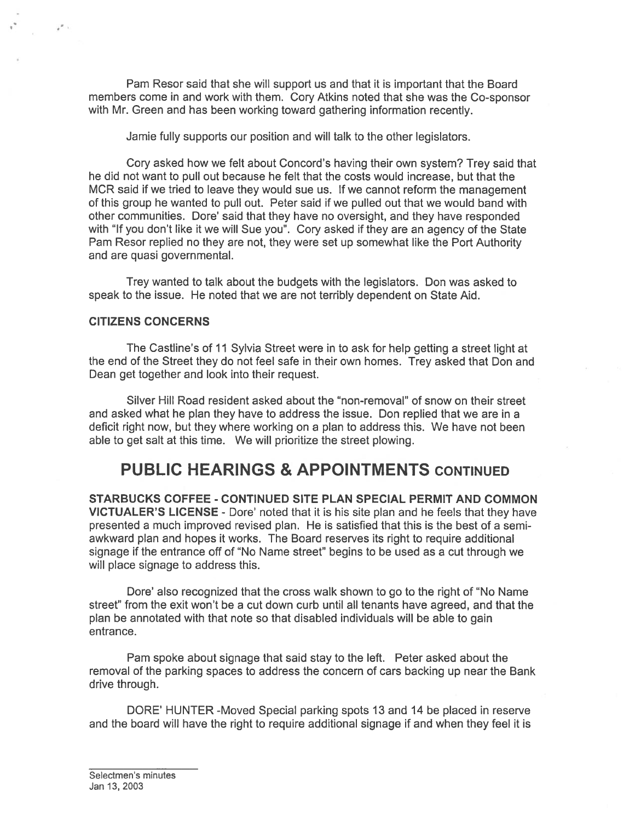Pam Resor said that she will suppor<sup>t</sup> us and that it is important that the Board members come in and work with them. Cory Atkins noted that she was the Co-sponsor with Mr. Green and has been working toward gathering information recently.

Jamie fully supports our position and will talk to the other legislators.

Cory asked how we felt about Concord's having their own system? Trey said that he did not want to pull out because he felt that the costs would increase, but that the MCR said if we tried to leave they would sue us. If we cannot reform the managemen<sup>t</sup> of this group he wanted to pull out. Peter said if we pulled out that we would band with other communities. Dore' said that they have no oversight, and they have responded with "If you don't like it we will Sue you". Cory asked if they are an agency of the State Pam Resor replied no they are not, they were set up somewhat like the Port Authority and are quasi governmental.

Trey wanted to talk about the budgets with the legislators. Don was asked to speak to the issue. He noted that we are not terribly dependent on State Aid.

## CITIZENS CONCERNS

 $\overline{I}^{\mathbb{Z}}$  :

The Castline's of 11 Sylvia Street were in to ask for help getting <sup>a</sup> street light at the end of the Street they do not feel safe in their own homes. Trey asked that Don and Dean ge<sup>t</sup> together and look into their request.

Silver Hill Road resident asked about the "non-removal" of snow on their street and asked what he plan they have to address the issue. Don replied that we are in <sup>a</sup> deficit right now, but they where working on <sup>a</sup> plan to address this. We have not been able to ge<sup>t</sup> salt at this time. We will prioritize the street plowing.

# PUBLIC HEARINGS & APPOINTMENTS CONTINUED

STARBUCKS COFFEE - CONTINUED SITE PLAN SPECIAL PERMIT AND COMMON VICTUALER'S LICENSE - Dore' noted that it is his site plan and he feels that they have presented <sup>a</sup> much improved revised plan. He is satisfied that this is the best of <sup>a</sup> semiawkward plan and hopes it works. The Board reserves its right to require additional signage if the entrance off of "No Name street" begins to be used as <sup>a</sup> cut through we will place signage to address this.

Dore' also recognized that the cross walk shown to go to the right of "No Name street" from the exit won't be <sup>a</sup> cut down curb until all tenants have agreed, and that the plan be annotated with that note so that disabled individuals will be able to gain entrance.

Pam spoke about signage that said stay to the left. Peter asked about the removal of the parking spaces to address the concern of cars backing up near the Bank drive through.

DORE' HUNTER -Moved Special parking spots 13 and 14 be placed in reserve and the board will have the right to require additional signage if and when they feel it is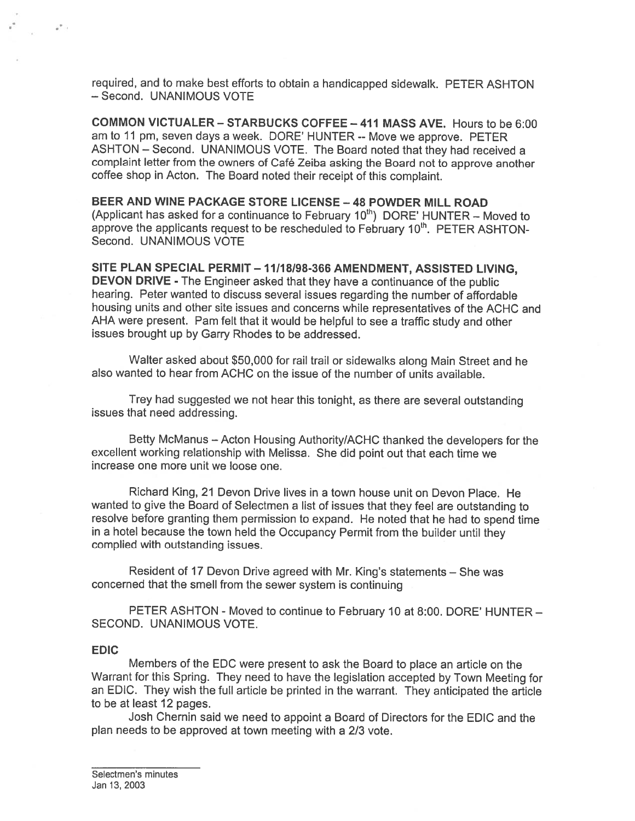required, and to make best efforts to obtain <sup>a</sup> handicapped sidewalk. PETER ASHTON — Second. UNANIMOUS VOTE

COMMON VICTUALER -STARBUCKS COFFEE —411 MASS AVE. Hours to be 6:00 am to 11 pm, seven days <sup>a</sup> week. DORE' HUNTER -- Move we approve. PETER ASHTON — Second. UNANIMOUS VOTE. The Board noted that they had received <sup>a</sup> complaint letter from the owners of Café Zeiba asking the Board not to approve another coffee shop in Acton. The Board noted their receipt of this complaint.

BEER AND WINE PACKAGE STORE LICENSE —48 POWDER MILL ROAD (Applicant has asked for a continuance to February  $10<sup>th</sup>$ ) DORE' HUNTER – Moved to approve the applicants request to be rescheduled to February  $10<sup>th</sup>$ . PETER ASHTON-Second. UNANIMOUS VOTE

SITE PLAN SPECIAL PERMIT— 11/1 8/98-366 AMENDMENT, ASSISTED LIVING, DEVON DRIVE - The Engineer asked that they have <sup>a</sup> continuance of the public hearing. Peter wanted to discuss several issues regarding the number of affordable housing units and other site issues and concerns while representatives of the ACHC and AHA were present. Pam felt that it would be helpful to see <sup>a</sup> traffic study and other issues brought up by Garry Rhodes to be addressed.

Walter asked about \$50,000 for rail trail or sidewalks along Main Street and he also wanted to hear from ACHC on the issue of the number of units available.

Trey had suggested we not hear this tonight, as there are several outstanding issues that need addressing.

Betty McManus — Acton Housing Authority/ACHC thanked the developers for the excellent working relationship with Melissa. She did point out that each time we increase one more unit we loose one.

Richard King, 21 Devon Drive lives in <sup>a</sup> town house unit on Devon Place. He wanted to <sup>g</sup>ive the Board of Selectmen <sup>a</sup> list of issues that they feel are outstanding to resolve before granting them permission to expand. He noted that he had to spen<sup>d</sup> time in <sup>a</sup> hotel because the town held the Occupancy Permit from the builder until they complied with outstanding issues.

Resident of <sup>17</sup> Devon Drive agreed with Mr. King's statements — She was concerned that the smell from the sewer system is continuing

PETER ASHTON - Moved to continue to February 10 at 8:00. DORE' HUNTER — SECOND. UNANIMOUS VOTE.

#### EDIC

 $\mathcal{C}^{\mathcal{P}_{\mathcal{C},\mathcal{C}}}$ 

Members of the EDC were presen<sup>t</sup> to ask the Board to <sup>p</sup>lace an article on the Warrant for this Spring. They need to have the legislation accepted by Town Meeting for an EDIC. They wish the full article be printed in the warrant. They anticipated the article to be at least 12 pages.

Josh Chernin said we need to appoint <sup>a</sup> Board of Directors for the EDIC and the plan needs to be approved at town meeting with <sup>a</sup> 2/3 vote.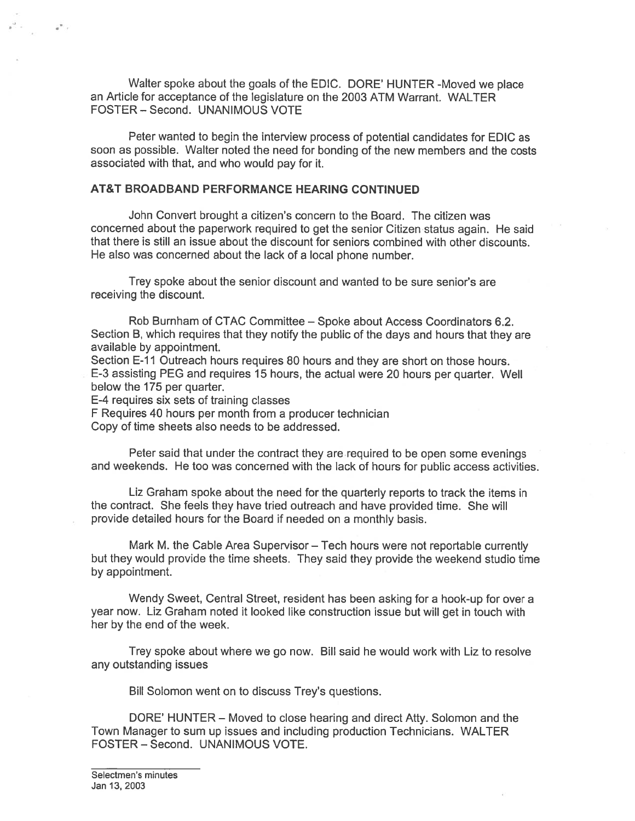Walter spoke about the goals of the EDIC. DORE' HUNTER -Moved we <sup>p</sup>lace an Article for acceptance of the legislature on the 2003 ATM Warrant. WALTER FOSTER — Second. UNANIMOUS VOTE

Peter wanted to begin the interview process of potential candidates for EDIC as soon as possible. Walter noted the need for bonding of the new members and the costs associated with that, and who would pay for it.

#### AT&T BROADBAND PERFORMANCE HEARING CONTINUED

John Convert brought <sup>a</sup> citizen's concern to the Board. The citizen was concerned about the paperwor<sup>k</sup> required to ge<sup>t</sup> the senior Citizen status again. He said that there is still an issue about the discount for seniors combined with other discounts. He also was concerned about the lack of <sup>a</sup> local phone number.

Trey spoke about the senior discount and wanted to be sure senior's are receiving the discount.

Rob Burnham of CTAC Committee — Spoke about Access Coordinators 6.2. Section B, which requires that they notify the public of the days and hours that they are available by appointment.

Section E-11 Outreach hours requires 80 hours and they are short on those hours. E-3 assisting PEG and requires 15 hours, the actual were <sup>20</sup> hours per quarter. Well below the 175 per quarter.

E-4 requires six sets of training classes

 $\tilde{\sigma}^{(0)}$  .

F Requires 40 hours per month from <sup>a</sup> producer technician

Copy of time sheets also needs to be addressed.

Peter said that under the contract they are required to be open some evenings and weekends. He too was concerned with the lack of hours for public access activities.

Liz Graham spoke about the need for the quarterly reports to track the items in the contract. She feels they have tried outreach and have provided time. She will provide detailed hours for the Board if needed on <sup>a</sup> monthly basis.

Mark M. the Cable Area Supervisor — Tech hours were not reportable currently but they would provide the time sheets. They said they provide the weekend studio time by appointment.

Wendy Sweet, Central Street, resident has been asking for <sup>a</sup> hook-up for over <sup>a</sup> year now. Liz Graham noted it looked like construction issue but will ge<sup>t</sup> in touch with her by the end of the week.

Trey spoke about where we go now. Bill said he would work with Liz to resolve any outstanding issues

Bill Solomon went on to discuss Trey's questions.

DORE' HUNTER — Moved to close hearing and direct Atty. Solomon and the Town Manager to sum up issues and including production Technicians. WALTER FOSTER — Second. UNANIMOUS VOTE.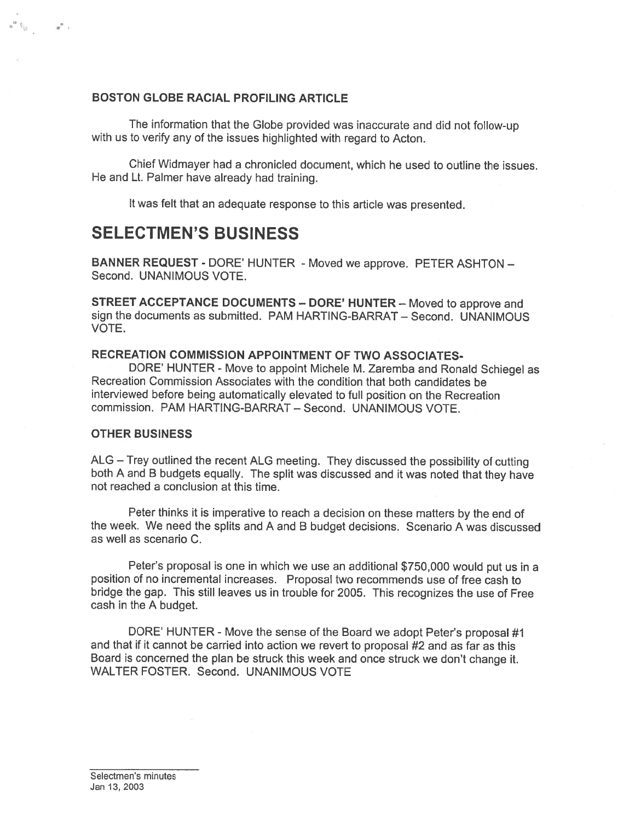#### BOSTON GLOBE RACIAL PROFILING ARTICLE

The information that the Globe provided was inaccurate and did not follow-up with us to verify any of the issues highlighted with regard to Acton.

Chief Widmayer had <sup>a</sup> chronicled document, which he used to outline the issues. He and Lt. Palmer have already had training.

It was felt that an adequate response to this article was presented.

# SELECTMEN'S BUSINESS

BANNER REQUEST - DORE' HUNTER - Moved we approve. PETER ASHTON -Second. UNANIMOUS VOTE.

STREET ACCEPTANCE DOCUMENTS — DORE' HUNTER — Moved to approve and sign the documents as submitted. PAM HARTING-BARRAT — Second. UNANIMOUS VOTE.

### RECREATION COMMISSION APPOINTMENT OF TWO ASSOCIATES

DORE' HUNTER - Move to appoint Michele M. Zaremba and Ronald Schiegel as Recreation Commission Associates with the condition that both candidates be interviewed before being automatically elevated to full position on the Recreation commission. PAM HARTING-BARRAT — Second. UNANIMOUS VOTE.

#### OTHER BUSINESS

 $\overline{S}_{\overline{S}}$   $\overline{S}_{\overline{S}}$   $\overline{S}_{\overline{S}}$ 

ALG — Trey outlined the recent ALG meeting. They discussed the possibility of cutting both <sup>A</sup> and <sup>B</sup> budgets equally. The split was discussed and it was noted that they have not reached <sup>a</sup> conclusion at this time.

Peter thinks it is imperative to reach <sup>a</sup> decision on these matters by the end of the week. We need the splits and <sup>A</sup> and <sup>B</sup> budget decisions. Scenario <sup>A</sup> was discussed as well as scenario C.

Peter's proposa<sup>l</sup> is one in which we use an additional \$750,000 would pu<sup>t</sup> us in <sup>a</sup> position of no incremental increases. Proposal two recommends use of free cash to bridge the gap. This still leaves us in trouble for 2005. This recognizes the use of Free cash in the A budget.

DORE' HUNTER - Move the sense of the Board we adopt Peter's proposa<sup>l</sup> #1 and that if it cannot be carried into action we revert to proposal #2 and as far as this Board is concerned the <sup>p</sup>lan be struck this week and once struck we don't change it. WALTER FOSTER. Second. UNANIMOUS VOTE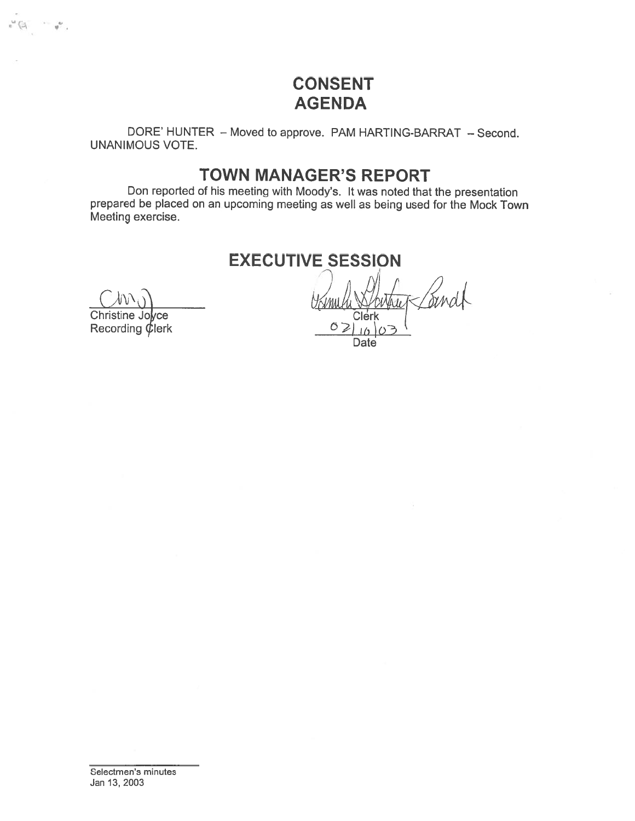# CONSENT AGENDA

DORE' HUNTER — Moved to approve. PAM HARTING-BARRAT — Second. UNANIMOUS VOTE.

# TOWN MANAGER'S REPORT

Don reported of his meeting with Moody's. It was noted that the presentation prepare<sup>d</sup> be <sup>p</sup>laced on an upcoming meeting as well as being used for the Mock Town Meeting exercise.

EXECUTIVE SESSION

C

•1

Christine Jolyce Recording  $\oint$ lerk  $\frac{1}{\sqrt{2}}$ 

Date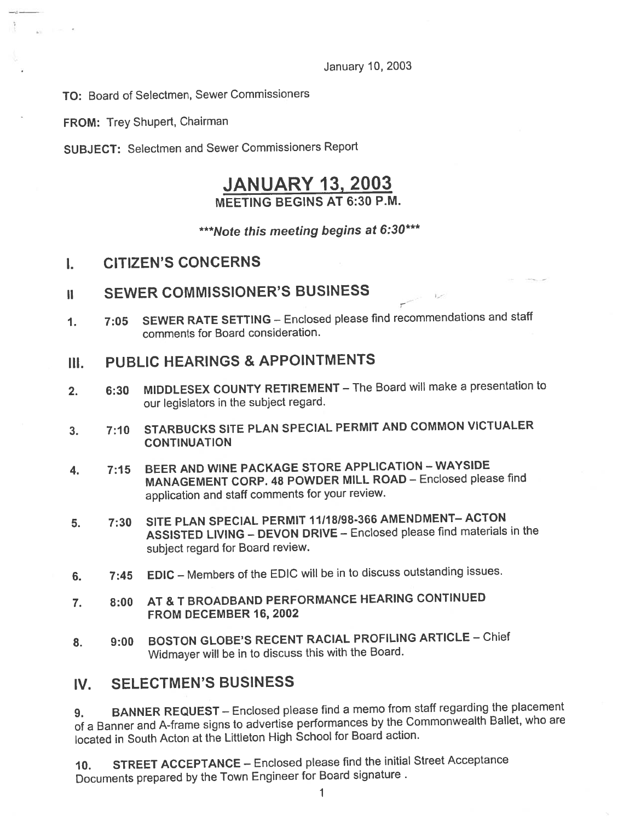January 10, 2003

TO: Board of Selectmen, Sewer Commissioners

FROM: Trey Shupert, Chairman

SUBJECT: Selectmen and Sewer Commissioners Report

## JANUARY 13, 2003 MEETING BEGINS AT 6:30 P.M.

\*\*\*Note this meeting begins at 6:30\*\*\*

- I. CITIZEN'S CONCERNS
- ii SEWER COMMISSIONER'S BUSINESS
- 1. 7:05 SEWER RATE SETTING Enclosed <sup>p</sup>lease find recommendations and staff comments for Board consideration.

## III. PUBLIC HEARINGS & APPOINTMENTS

- 2. 6:30 MIDDLESEX COUNTY RETIREMENT The Board will make <sup>a</sup> presentation to our legislators in the subject regard.
- 3. 7:10 STARBUCKS SITE PLAN SPECIAL PERMIT AND COMMON VICTUALER **CONTINUATION**
- 4. 7:15 BEER AND WINE PACKAGE STORE APPLICATION WAYSIDE MANAGEMENT CORP. <sup>48</sup> POWDER MILL ROAD — Enclosed <sup>p</sup>lease find application and staff comments for your review.
- 5. 7:30 SITE PLAN SPECIAL PERMIT J1118198-366AMENDMENT—ACTON ASSISTED LIVING — DEVON DRIVE — Enclosed <sup>p</sup>lease find materials in the subject regar<sup>d</sup> for Board review.
- 6. 7:45 EDIC Members of the EDIC will be in to discuss outstanding issues.
- 7. 8:00 AT & T BROADBAND PERFORMANCE HEARING CONTINUED FROM DECEMBER 16, 2002
- 8. 9:00 BOSTON GLOBE'S RECENT RACIAL PROFILING ARTICLE Chief Widmayer will be in to discuss this with the Board.

## IV. SELECTMEN'S BUSINESS

9. BANNER REQUEST – Enclosed please find a memo from staff regarding the placement of <sup>a</sup> Banner and A-frame signs to advertise performances by the Commonwealth Ballet, who are located in South Acton at the Littleton High School for Board action.

10. STREET ACCEPTANCE — Enclosed <sup>p</sup>lease find the initial Street Acceptance Documents prepare<sup>d</sup> by the Town Engineer for Board signature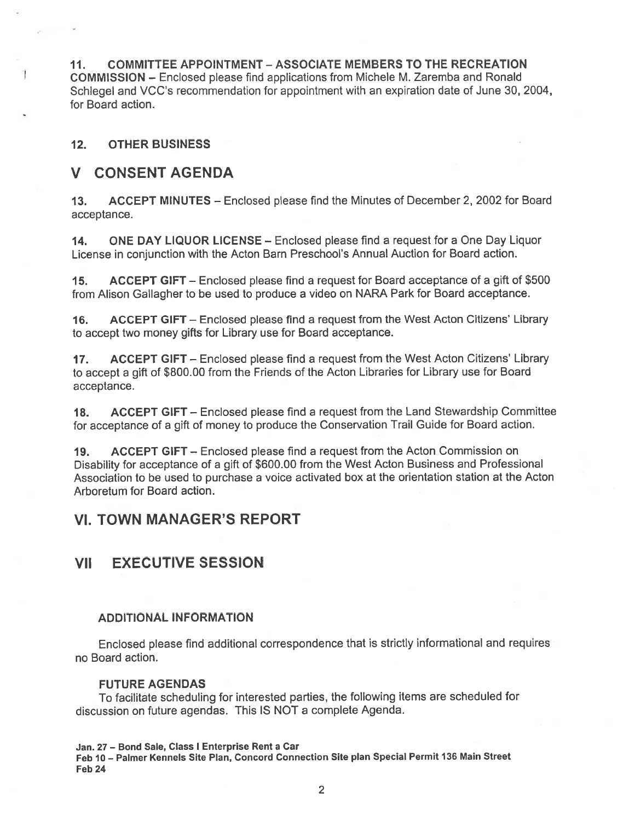11. COMMITTEE APPOINTMENT -ASSOCIATE MEMBERS TO THE RECREATION COMMISSION — Enclosed please find applications from Michele M. Zaremba and Ronald Schlegel and VCC's recommendation for appointment with an expiration date of June 30, 2004, for Board action.

## 12. OTHER BUSINESS

## V CONSENT AGENDA

13. ACCEPT MINUTES — Enclosed please find the Minutes of December 2, 2002 for Board acceptance.

14. ONE DAY LIQUOR LICENSE — Enclosed please find <sup>a</sup> reques<sup>t</sup> for <sup>a</sup> One Day Liquor License in conjunction with the Acton Barn Preschool's Annual Auction for Board action.

15. ACCEPT GIFT — Enclosed please find <sup>a</sup> reques<sup>t</sup> for Board acceptance of <sup>a</sup> gift of \$500 from Alison Gallagher to be used to produce <sup>a</sup> video on NARA Park for Board acceptance.

16. ACCEPT GIFT — Enclosed <sup>p</sup>lease find <sup>a</sup> reques<sup>t</sup> from the West Acton Citizens' Library to accep<sup>t</sup> two money gifts for Library use for Board acceptance.

17. ACCEPT GIFT – Enclosed please find a request from the West Acton Citizens' Library to accep<sup>t</sup> <sup>a</sup> <sup>g</sup>ift of \$800.00 from the Friends of the Acton Libraries for Library use for Board acceptance.

18. ACCEPT GIFT — Enclosed please find <sup>a</sup> reques<sup>t</sup> from the Land Stewardship Committee for acceptance of <sup>a</sup> <sup>g</sup>ift of money to produce the Conservation Trail Guide for Board action.

19. ACCEPT GIFT — Enclosed please find <sup>a</sup> reques<sup>t</sup> from the Acton Commission on Disability for acceptance of <sup>a</sup> <sup>g</sup>ift of \$600.00 from the West Acton Business and Professional Association to be used to purchase <sup>a</sup> voice activated box at the orientation station at the Acton Arboretum for Board action.

## VI. TOWN MANAGER'S REPORT

## VII EXECUTIVE SESSION

## ADDITIONAL INFORMATION

Enclosed <sup>p</sup>lease find additional correspondence that is strictly informational and requires no Board action.

## FUTURE AGENDAS

To facilitate scheduling for interested parties, the following items are scheduled for discussion on future agendas. This IS NOT <sup>a</sup> complete Agenda.

Jan. 27 — Bond Sale, Class I Enterprise Rent <sup>a</sup> Cat

Feb 10— Palmer Kennels Site Plan, Concord Connection Site plan Special Permit 136 Main Street Feb 24